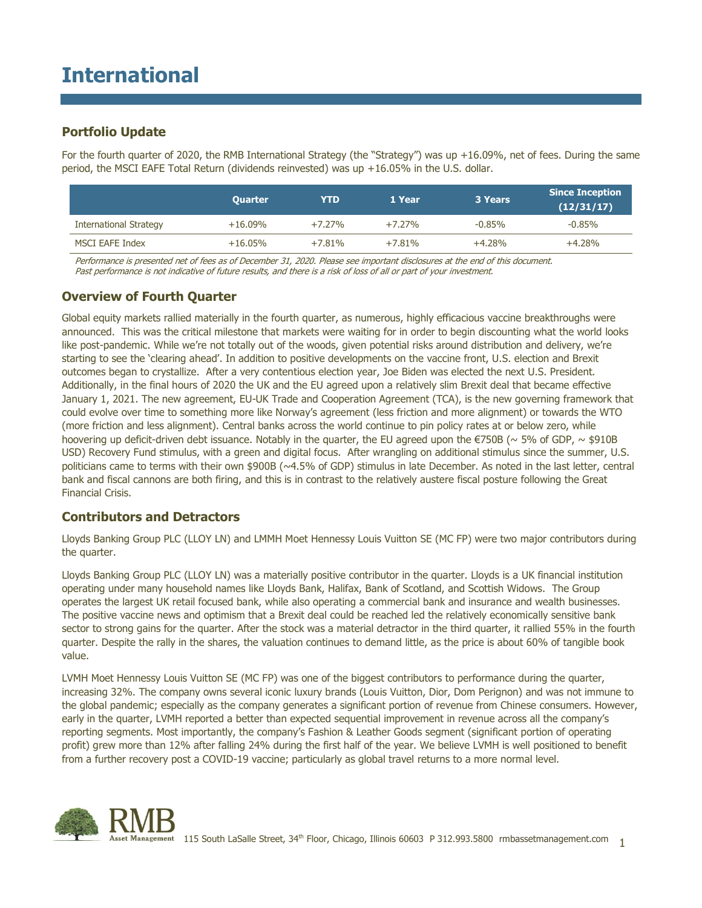# **International**

## **Portfolio Update**

For the fourth quarter of 2020, the RMB International Strategy (the "Strategy") was up +16.09%, net of fees. During the same period, the MSCI EAFE Total Return (dividends reinvested) was up +16.05% in the U.S. dollar.

|                               | <b>Quarter</b> | <b>YTD</b> | 1 Year   | 3 Years  | <b>Since Inception</b><br>(12/31/17) |
|-------------------------------|----------------|------------|----------|----------|--------------------------------------|
| <b>International Strategy</b> | $+16.09\%$     | $+7.27%$   | $+7.27%$ | $-0.85%$ | $-0.85\%$                            |
| MSCI EAFE Index               | $+16.05%$      | $+7.81%$   | $+7.81%$ | $+4.28%$ | $+4.28%$                             |

Performance is presented net of fees as of December 31, 2020. Please see important disclosures at the end of this document. Past performance is not indicative of future results, and there is a risk of loss of all or part of your investment.

## **Overview of Fourth Quarter**

Global equity markets rallied materially in the fourth quarter, as numerous, highly efficacious vaccine breakthroughs were announced. This was the critical milestone that markets were waiting for in order to begin discounting what the world looks like post-pandemic. While we're not totally out of the woods, given potential risks around distribution and delivery, we're starting to see the 'clearing ahead'. In addition to positive developments on the vaccine front, U.S. election and Brexit outcomes began to crystallize. After a very contentious election year, Joe Biden was elected the next U.S. President. Additionally, in the final hours of 2020 the UK and the EU agreed upon a relatively slim Brexit deal that became effective January 1, 2021. The new agreement, EU-UK Trade and Cooperation Agreement (TCA), is the new governing framework that could evolve over time to something more like Norway's agreement (less friction and more alignment) or towards the WTO (more friction and less alignment). Central banks across the world continue to pin policy rates at or below zero, while hoovering up deficit-driven debt issuance. Notably in the quarter, the EU agreed upon the €750B ( $\sim$  5% of GDP,  $\sim$  \$910B USD) Recovery Fund stimulus, with a green and digital focus. After wrangling on additional stimulus since the summer, U.S. politicians came to terms with their own \$900B (~4.5% of GDP) stimulus in late December. As noted in the last letter, central bank and fiscal cannons are both firing, and this is in contrast to the relatively austere fiscal posture following the Great Financial Crisis.

### **Contributors and Detractors**

Lloyds Banking Group PLC (LLOY LN) and LMMH Moet Hennessy Louis Vuitton SE (MC FP) were two major contributors during the quarter.

Lloyds Banking Group PLC (LLOY LN) was a materially positive contributor in the quarter. Lloyds is a UK financial institution operating under many household names like Lloyds Bank, Halifax, Bank of Scotland, and Scottish Widows. The Group operates the largest UK retail focused bank, while also operating a commercial bank and insurance and wealth businesses. The positive vaccine news and optimism that a Brexit deal could be reached led the relatively economically sensitive bank sector to strong gains for the quarter. After the stock was a material detractor in the third quarter, it rallied 55% in the fourth quarter. Despite the rally in the shares, the valuation continues to demand little, as the price is about 60% of tangible book value.

LVMH Moet Hennessy Louis Vuitton SE (MC FP) was one of the biggest contributors to performance during the quarter, increasing 32%. The company owns several iconic luxury brands (Louis Vuitton, Dior, Dom Perignon) and was not immune to the global pandemic; especially as the company generates a significant portion of revenue from Chinese consumers. However, early in the quarter, LVMH reported a better than expected sequential improvement in revenue across all the company's reporting segments. Most importantly, the company's Fashion & Leather Goods segment (significant portion of operating profit) grew more than 12% after falling 24% during the first half of the year. We believe LVMH is well positioned to benefit from a further recovery post a COVID-19 vaccine; particularly as global travel returns to a more normal level.

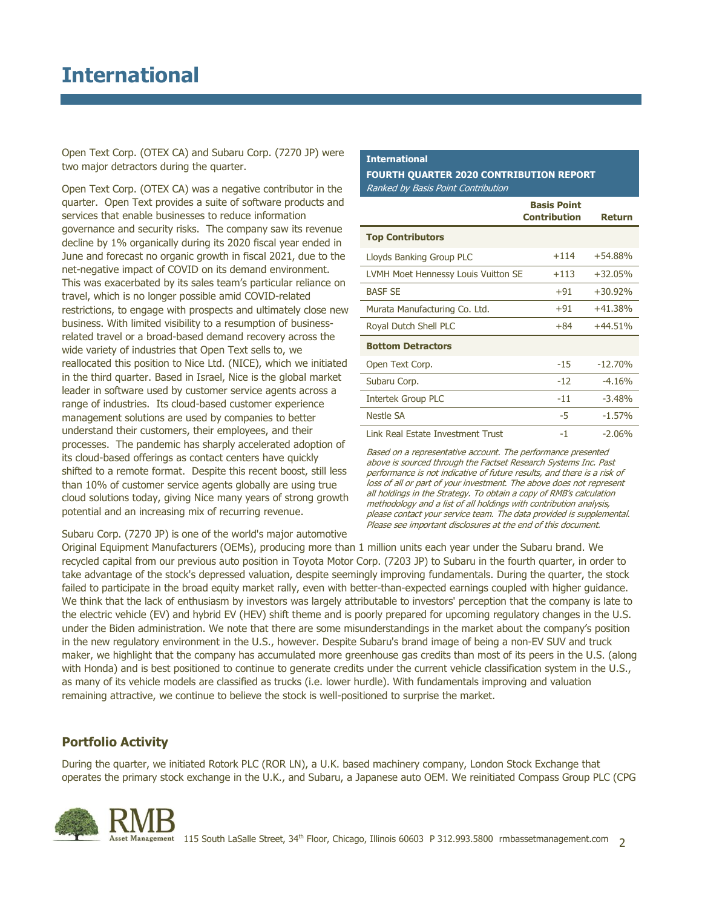Open Text Corp. (OTEX CA) and Subaru Corp. (7270 JP) were two major detractors during the quarter.

Open Text Corp. (OTEX CA) was a negative contributor in the quarter. Open Text provides a suite of software products and services that enable businesses to reduce information governance and security risks. The company saw its revenue decline by 1% organically during its 2020 fiscal year ended in June and forecast no organic growth in fiscal 2021, due to the net-negative impact of COVID on its demand environment. This was exacerbated by its sales team's particular reliance on travel, which is no longer possible amid COVID-related restrictions, to engage with prospects and ultimately close new business. With limited visibility to a resumption of businessrelated travel or a broad-based demand recovery across the wide variety of industries that Open Text sells to, we reallocated this position to Nice Ltd. (NICE), which we initiated in the third quarter. Based in Israel, Nice is the global market leader in software used by customer service agents across a range of industries. Its cloud-based customer experience management solutions are used by companies to better understand their customers, their employees, and their processes. The pandemic has sharply accelerated adoption of its cloud-based offerings as contact centers have quickly shifted to a remote format. Despite this recent boost, still less than 10% of customer service agents globally are using true cloud solutions today, giving Nice many years of strong growth potential and an increasing mix of recurring revenue.

#### **International**

#### **FOURTH QUARTER 2020 CONTRIBUTION REPORT** Ranked by Basis Point Contribution

|                                     | <b>Basis Point</b><br><b>Contribution</b> | <b>Return</b> |  |
|-------------------------------------|-------------------------------------------|---------------|--|
| <b>Top Contributors</b>             |                                           |               |  |
| Lloyds Banking Group PLC            | $+114$                                    | $+54.88%$     |  |
| LVMH Moet Hennessy Louis Vuitton SE | $+113$                                    | $+32.05%$     |  |
| <b>BASF SE</b>                      | $+91$                                     | $+30.92%$     |  |
| Murata Manufacturing Co. Ltd.       | $+91$                                     | $+41.38%$     |  |
| Royal Dutch Shell PLC               | $+84$                                     | $+44.51%$     |  |
| <b>Bottom Detractors</b>            |                                           |               |  |
| Open Text Corp.                     | $-15$                                     | $-12.70%$     |  |
| Subaru Corp.                        | $-12$                                     | $-4.16%$      |  |
| <b>Intertek Group PLC</b>           | $-11$                                     | $-3.48%$      |  |
| Nestle SA                           | -5                                        | $-1.57%$      |  |
| Link Real Estate Investment Trust   | -1                                        | $-2.06%$      |  |

Based on a representative account. The performance presented above is sourced through the Factset Research Systems Inc. Past performance is not indicative of future results, and there is a risk of loss of all or part of your investment. The above does not represent all holdings in the Strategy. To obtain a copy of RMB's calculation methodology and a list of all holdings with contribution analysis, please contact your service team. The data provided is supplemental. Please see important disclosures at the end of this document.

Subaru Corp. (7270 JP) is one of the world's major automotive

Original Equipment Manufacturers (OEMs), producing more than 1 million units each year under the Subaru brand. We recycled capital from our previous auto position in Toyota Motor Corp. (7203 JP) to Subaru in the fourth quarter, in order to take advantage of the stock's depressed valuation, despite seemingly improving fundamentals. During the quarter, the stock failed to participate in the broad equity market rally, even with better-than-expected earnings coupled with higher guidance. We think that the lack of enthusiasm by investors was largely attributable to investors' perception that the company is late to the electric vehicle (EV) and hybrid EV (HEV) shift theme and is poorly prepared for upcoming regulatory changes in the U.S. under the Biden administration. We note that there are some misunderstandings in the market about the company's position in the new regulatory environment in the U.S., however. Despite Subaru's brand image of being a non-EV SUV and truck maker, we highlight that the company has accumulated more greenhouse gas credits than most of its peers in the U.S. (along with Honda) and is best positioned to continue to generate credits under the current vehicle classification system in the U.S., as many of its vehicle models are classified as trucks (i.e. lower hurdle). With fundamentals improving and valuation remaining attractive, we continue to believe the stock is well-positioned to surprise the market.

## **Portfolio Activity**

During the quarter, we initiated Rotork PLC (ROR LN), a U.K. based machinery company, London Stock Exchange that operates the primary stock exchange in the U.K., and Subaru, a Japanese auto OEM. We reinitiated Compass Group PLC (CPG

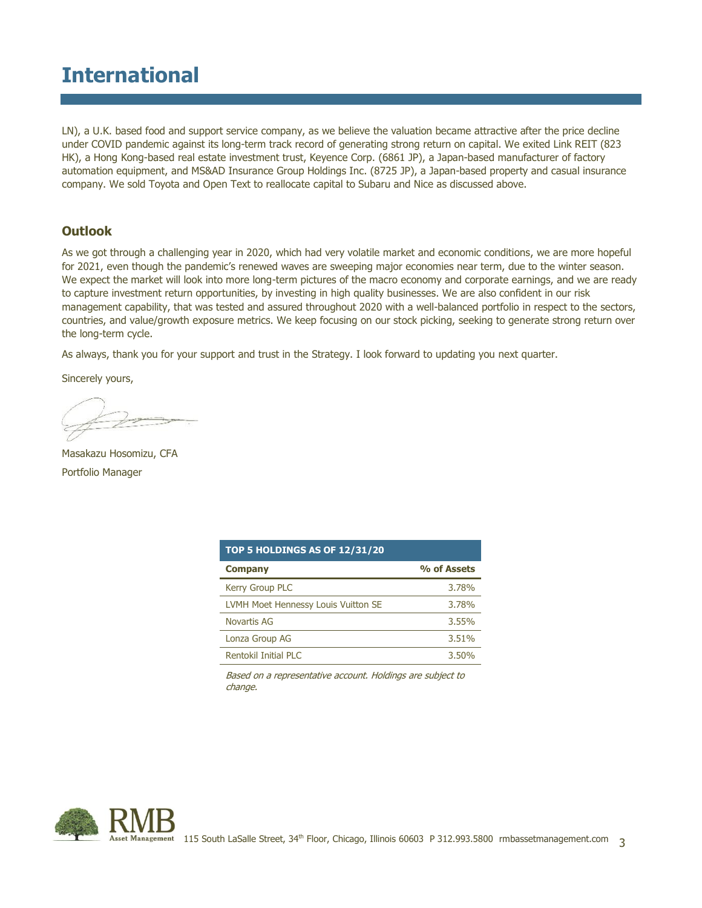# **International**

LN), a U.K. based food and support service company, as we believe the valuation became attractive after the price decline under COVID pandemic against its long-term track record of generating strong return on capital. We exited Link REIT (823 HK), a Hong Kong-based real estate investment trust, Keyence Corp. (6861 JP), a Japan-based manufacturer of factory automation equipment, and MS&AD Insurance Group Holdings Inc. (8725 JP), a Japan-based property and casual insurance company. We sold Toyota and Open Text to reallocate capital to Subaru and Nice as discussed above.

### **Outlook**

As we got through a challenging year in 2020, which had very volatile market and economic conditions, we are more hopeful for 2021, even though the pandemic's renewed waves are sweeping major economies near term, due to the winter season. We expect the market will look into more long-term pictures of the macro economy and corporate earnings, and we are ready to capture investment return opportunities, by investing in high quality businesses. We are also confident in our risk management capability, that was tested and assured throughout 2020 with a well-balanced portfolio in respect to the sectors, countries, and value/growth exposure metrics. We keep focusing on our stock picking, seeking to generate strong return over the long-term cycle.

As always, thank you for your support and trust in the Strategy. I look forward to updating you next quarter.

Sincerely yours,

Masakazu Hosomizu, CFA Portfolio Manager

| <b>TOP 5 HOLDINGS AS OF 12/31/20</b>       |             |  |  |  |  |  |
|--------------------------------------------|-------------|--|--|--|--|--|
| <b>Company</b>                             | % of Assets |  |  |  |  |  |
| <b>Kerry Group PLC</b>                     | 3.78%       |  |  |  |  |  |
| <b>LVMH Moet Hennessy Louis Vuitton SE</b> | 3.78%       |  |  |  |  |  |
| Novartis AG                                | 3.55%       |  |  |  |  |  |
| Lonza Group AG                             | 3.51%       |  |  |  |  |  |
| Rentokil Initial PLC                       | 3.50%       |  |  |  |  |  |

Based on a representative account. Holdings are subject to change.

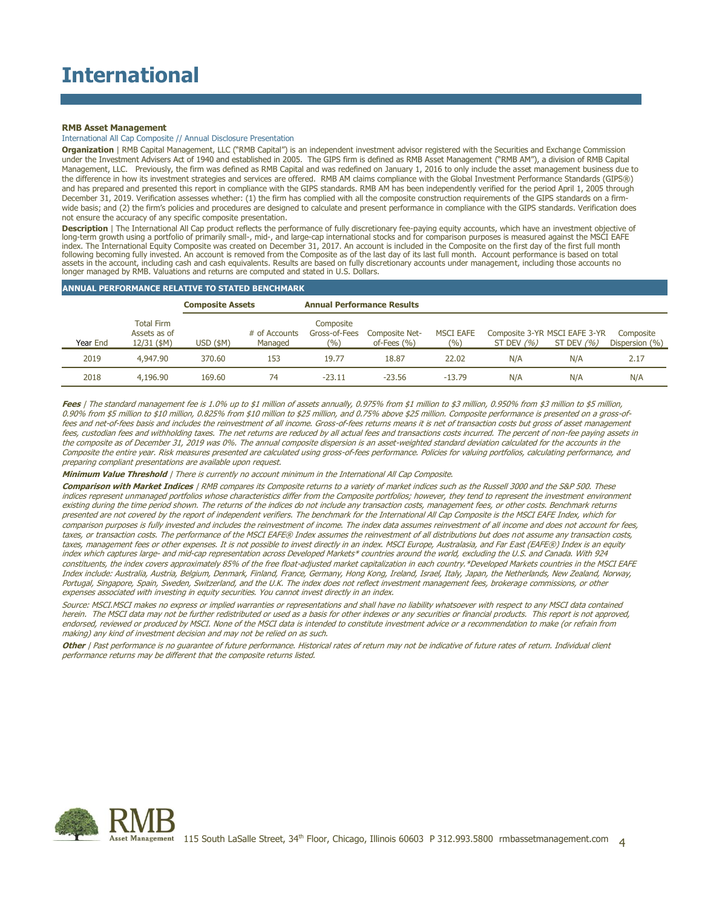#### **RMB Asset Management**

#### International All Cap Composite // Annual Disclosure Presentation

**Organization** | RMB Capital Management, LLC ("RMB Capital") is an independent investment advisor registered with the Securities and Exchange Commission under the Investment Advisers Act of 1940 and established in 2005. The GIPS firm is defined as RMB Asset Management ("RMB AM"), a division of RMB Capital Management, LLC. Previously, the firm was defined as RMB Capital and was redefined on January 1, 2016 to only include the asset management business due to the difference in how its investment strategies and services are offered. RMB AM claims compliance with the Global Investment Performance Standards (GIPS®) and has prepared and presented this report in compliance with the GIPS standards. RMB AM has been independently verified for the period April 1, 2005 through December 31, 2019. Verification assesses whether: (1) the firm has complied with all the composite construction requirements of the GIPS standards on a firmwide basis; and (2) the firm's policies and procedures are designed to calculate and present performance in compliance with the GIPS standards. Verification does not ensure the accuracy of any specific composite presentation.

**Description** | The International All Cap product reflects the performance of fully discretionary fee-paying equity accounts, which have an investment objective of long-term growth using a portfolio of primarily small-, mid-, and large-cap international stocks and for comparison purposes is measured against the MSCI EAFE<br>index. The International Equity Composite was created on Decemb following becoming fully invested. An account is removed from the Composite as of the last day of its last full month. Account performance is based on total assets in the account, including cash and cash equivalents. Results are based on fully discretionary accounts under management, including those accounts no longer managed by RMB. Valuations and returns are computed and stated in U.S. Dollars.

#### **ANNUAL PERFORMANCE RELATIVE TO STATED BENCHMARK**

|          |                                                  | <b>Composite Assets</b> |                          | <b>Annual Performance Results</b>   |                                   |                           |                                                |               |                             |
|----------|--------------------------------------------------|-------------------------|--------------------------|-------------------------------------|-----------------------------------|---------------------------|------------------------------------------------|---------------|-----------------------------|
| Year End | <b>Total Firm</b><br>Assets as of<br>12/31 (\$M) | $USD$ (\$M)             | # of Accounts<br>Managed | Composite<br>Gross-of-Fees<br>(9/0) | Composite Net-<br>of-Fees $(\% )$ | <b>MSCI EAFE</b><br>(9/0) | Composite 3-YR MSCI EAFE 3-YR<br>ST DEV $(% )$ | ST DEV $(% )$ | Composite<br>Dispersion (%) |
| 2019     | 4,947,90                                         | 370.60                  | 153                      | 19.77                               | 18.87                             | 22.02                     | N/A                                            | N/A           | 2.17                        |
| 2018     | 4,196.90                                         | 169.60                  | 74                       | $-23.11$                            | $-23.56$                          | $-13.79$                  | N/A                                            | N/A           | N/A                         |

Fees | The standard management fee is 1.0% up to \$1 million of assets annually, 0.975% from \$1 million to \$3 million, 0.950% from \$3 million to \$5 million, 0.90% from \$5 million to \$10 million, 0.825% from \$10 million to \$25 million, and 0.75% above \$25 million. Composite performance is presented on a gross-offees and net-of-fees basis and includes the reinvestment of all income. Gross-of-fees returns means it is net of transaction costs but gross of asset management fees, custodian fees and withholding taxes. The net returns are reduced by all actual fees and transactions costs incurred. The percent of non-fee paying assets in the composite as of December 31, 2019 was 0%. The annual composite dispersion is an asset-weighted standard deviation calculated for the accounts in the Composite the entire year. Risk measures presented are calculated using gross-of-fees performance. Policies for valuing portfolios, calculating performance, and preparing compliant presentations are available upon request.

**Minimum Value Threshold** | There is currently no account minimum in the International All Cap Composite.

**Comparison with Market Indices** | RMB compares its Composite returns to a variety of market indices such as the Russell 3000 and the S&P 500. These indices represent unmanaged portfolios whose characteristics differ from the Composite portfolios; however, they tend to represent the investment environment existing during the time period shown. The returns of the indices do not include any transaction costs, management fees, or other costs. Benchmark returns presented are not covered by the report of independent verifiers. The benchmark for the International All Cap Composite is the MSCI EAFE Index, which for comparison purposes is fully invested and includes the reinvestment of income. The index data assumes reinvestment of all income and does not account for fees, taxes, or transaction costs. The performance of the MSCI EAFE® Index assumes the reinvestment of all distributions but does not assume any transaction costs, taxes, management fees or other expenses. It is not possible to invest directly in an index. MSCI Europe, Australasia, and Far East (EAFE®) Index is an equity index which captures large- and mid-cap representation across Developed Markets\* countries around the world, excluding the U.S. and Canada. With 924 constituents, the index covers approximately 85% of the free float-adjusted market capitalization in each country.\*Developed Markets countries in the MSCI EAFE Index include: Australia, Austria, Belgium, Denmark, Finland, France, Germany, Hong Kong, Ireland, Israel, Italy, Japan, the Netherlands, New Zealand, Norway, Portugal, Singapore, Spain, Sweden, Switzerland, and the U.K. The index does not reflect investment management fees, brokerage commissions, or other expenses associated with investing in equity securities. You cannot invest directly in an index.

Source: MSCI.MSCI makes no express or implied warranties or representations and shall have no liability whatsoever with respect to any MSCI data contained herein. The MSCI data may not be further redistributed or used as a basis for other indexes or any securities or financial products. This report is not approved, endorsed, reviewed or produced by MSCI. None of the MSCI data is intended to constitute investment advice or a recommendation to make (or refrain from making) any kind of investment decision and may not be relied on as such.

**Other** | Past performance is no guarantee of future performance. Historical rates of return may not be indicative of future rates of return. Individual client performance returns may be different that the composite returns listed.